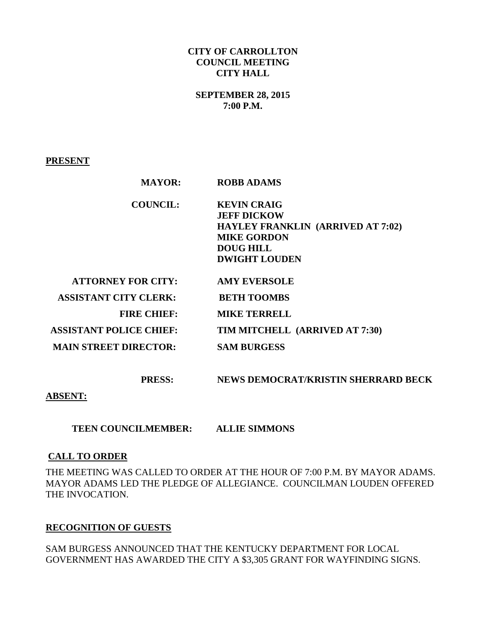#### **CITY OF CARROLLTON COUNCIL MEETING CITY HALL**

## **SEPTEMBER 28, 2015 7:00 P.M.**

**PRESENT**

| <b>MAYOR:</b>                  | <b>ROBB ADAMS</b>                                                                                                                                      |
|--------------------------------|--------------------------------------------------------------------------------------------------------------------------------------------------------|
| <b>COUNCIL:</b>                | <b>KEVIN CRAIG</b><br><b>JEFF DICKOW</b><br><b>HAYLEY FRANKLIN (ARRIVED AT 7:02)</b><br><b>MIKE GORDON</b><br><b>DOUG HILL</b><br><b>DWIGHT LOUDEN</b> |
| <b>ATTORNEY FOR CITY:</b>      | <b>AMY EVERSOLE</b>                                                                                                                                    |
| <b>ASSISTANT CITY CLERK:</b>   | <b>BETH TOOMBS</b>                                                                                                                                     |
| <b>FIRE CHIEF:</b>             | <b>MIKE TERRELL</b>                                                                                                                                    |
| <b>ASSISTANT POLICE CHIEF:</b> | TIM MITCHELL (ARRIVED AT 7:30)                                                                                                                         |
| <b>MAIN STREET DIRECTOR:</b>   | <b>SAM BURGESS</b>                                                                                                                                     |

 **PRESS: NEWS DEMOCRAT/KRISTIN SHERRARD BECK** 

**ABSENT:** 

 **TEEN COUNCILMEMBER: ALLIE SIMMONS** 

### **CALL TO ORDER**

THE MEETING WAS CALLED TO ORDER AT THE HOUR OF 7:00 P.M. BY MAYOR ADAMS. MAYOR ADAMS LED THE PLEDGE OF ALLEGIANCE. COUNCILMAN LOUDEN OFFERED THE INVOCATION.

### **RECOGNITION OF GUESTS**

SAM BURGESS ANNOUNCED THAT THE KENTUCKY DEPARTMENT FOR LOCAL GOVERNMENT HAS AWARDED THE CITY A \$3,305 GRANT FOR WAYFINDING SIGNS.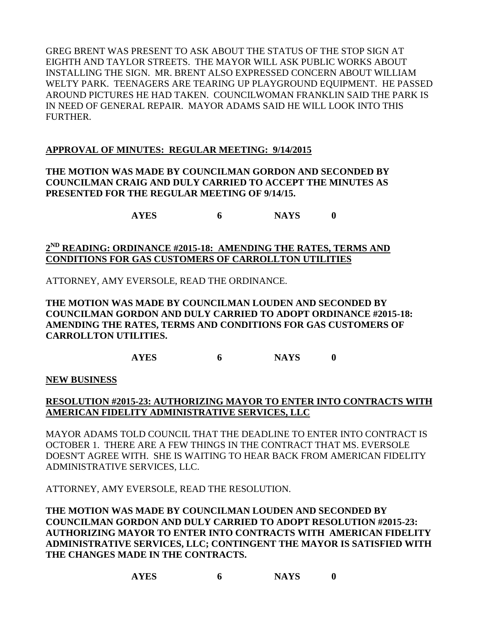GREG BRENT WAS PRESENT TO ASK ABOUT THE STATUS OF THE STOP SIGN AT EIGHTH AND TAYLOR STREETS. THE MAYOR WILL ASK PUBLIC WORKS ABOUT INSTALLING THE SIGN. MR. BRENT ALSO EXPRESSED CONCERN ABOUT WILLIAM WELTY PARK. TEENAGERS ARE TEARING UP PLAYGROUND EQUIPMENT. HE PASSED AROUND PICTURES HE HAD TAKEN. COUNCILWOMAN FRANKLIN SAID THE PARK IS IN NEED OF GENERAL REPAIR. MAYOR ADAMS SAID HE WILL LOOK INTO THIS FURTHER.

# **APPROVAL OF MINUTES: REGULAR MEETING: 9/14/2015**

**THE MOTION WAS MADE BY COUNCILMAN GORDON AND SECONDED BY COUNCILMAN CRAIG AND DULY CARRIED TO ACCEPT THE MINUTES AS PRESENTED FOR THE REGULAR MEETING OF 9/14/15.**

**AYES 6 NAYS 0**

# **2 ND READING: ORDINANCE #2015-18: AMENDING THE RATES, TERMS AND CONDITIONS FOR GAS CUSTOMERS OF CARROLLTON UTILITIES**

ATTORNEY, AMY EVERSOLE, READ THE ORDINANCE.

## **THE MOTION WAS MADE BY COUNCILMAN LOUDEN AND SECONDED BY COUNCILMAN GORDON AND DULY CARRIED TO ADOPT ORDINANCE #2015-18: AMENDING THE RATES, TERMS AND CONDITIONS FOR GAS CUSTOMERS OF CARROLLTON UTILITIES.**

**AYES 6 NAYS 0**

**NEW BUSINESS**

# **RESOLUTION #2015-23: AUTHORIZING MAYOR TO ENTER INTO CONTRACTS WITH AMERICAN FIDELITY ADMINISTRATIVE SERVICES, LLC**

MAYOR ADAMS TOLD COUNCIL THAT THE DEADLINE TO ENTER INTO CONTRACT IS OCTOBER 1. THERE ARE A FEW THINGS IN THE CONTRACT THAT MS. EVERSOLE DOESN'T AGREE WITH. SHE IS WAITING TO HEAR BACK FROM AMERICAN FIDELITY ADMINISTRATIVE SERVICES, LLC.

ATTORNEY, AMY EVERSOLE, READ THE RESOLUTION.

**THE MOTION WAS MADE BY COUNCILMAN LOUDEN AND SECONDED BY COUNCILMAN GORDON AND DULY CARRIED TO ADOPT RESOLUTION #2015-23: AUTHORIZING MAYOR TO ENTER INTO CONTRACTS WITH AMERICAN FIDELITY ADMINISTRATIVE SERVICES, LLC; CONTINGENT THE MAYOR IS SATISFIED WITH THE CHANGES MADE IN THE CONTRACTS.**

**AYES 6 NAYS 0**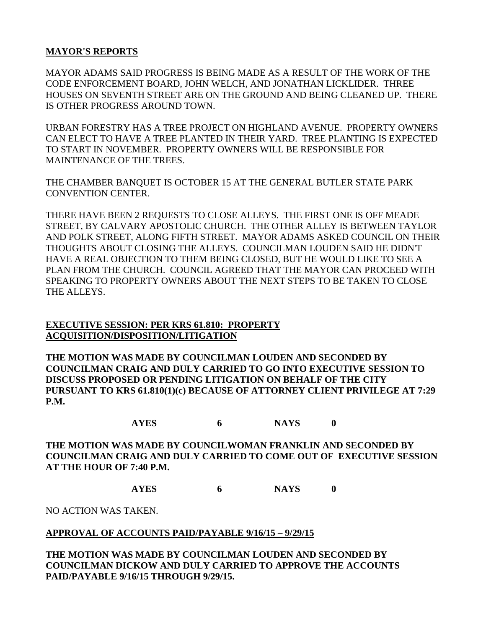## **MAYOR'S REPORTS**

MAYOR ADAMS SAID PROGRESS IS BEING MADE AS A RESULT OF THE WORK OF THE CODE ENFORCEMENT BOARD, JOHN WELCH, AND JONATHAN LICKLIDER. THREE HOUSES ON SEVENTH STREET ARE ON THE GROUND AND BEING CLEANED UP. THERE IS OTHER PROGRESS AROUND TOWN.

URBAN FORESTRY HAS A TREE PROJECT ON HIGHLAND AVENUE. PROPERTY OWNERS CAN ELECT TO HAVE A TREE PLANTED IN THEIR YARD. TREE PLANTING IS EXPECTED TO START IN NOVEMBER. PROPERTY OWNERS WILL BE RESPONSIBLE FOR MAINTENANCE OF THE TREES.

THE CHAMBER BANQUET IS OCTOBER 15 AT THE GENERAL BUTLER STATE PARK CONVENTION CENTER.

THERE HAVE BEEN 2 REQUESTS TO CLOSE ALLEYS. THE FIRST ONE IS OFF MEADE STREET, BY CALVARY APOSTOLIC CHURCH. THE OTHER ALLEY IS BETWEEN TAYLOR AND POLK STREET, ALONG FIFTH STREET. MAYOR ADAMS ASKED COUNCIL ON THEIR THOUGHTS ABOUT CLOSING THE ALLEYS. COUNCILMAN LOUDEN SAID HE DIDN'T HAVE A REAL OBJECTION TO THEM BEING CLOSED, BUT HE WOULD LIKE TO SEE A PLAN FROM THE CHURCH. COUNCIL AGREED THAT THE MAYOR CAN PROCEED WITH SPEAKING TO PROPERTY OWNERS ABOUT THE NEXT STEPS TO BE TAKEN TO CLOSE THE ALLEYS.

## **EXECUTIVE SESSION: PER KRS 61.810: PROPERTY ACQUISITION/DISPOSITION/LITIGATION**

**THE MOTION WAS MADE BY COUNCILMAN LOUDEN AND SECONDED BY COUNCILMAN CRAIG AND DULY CARRIED TO GO INTO EXECUTIVE SESSION TO DISCUSS PROPOSED OR PENDING LITIGATION ON BEHALF OF THE CITY PURSUANT TO KRS 61.810(1)(c) BECAUSE OF ATTORNEY CLIENT PRIVILEGE AT 7:29 P.M.**

**AYES 6 NAYS 0**

**THE MOTION WAS MADE BY COUNCILWOMAN FRANKLIN AND SECONDED BY COUNCILMAN CRAIG AND DULY CARRIED TO COME OUT OF EXECUTIVE SESSION AT THE HOUR OF 7:40 P.M.**

**AYES 6 NAYS 0**

NO ACTION WAS TAKEN.

### **APPROVAL OF ACCOUNTS PAID/PAYABLE 9/16/15 – 9/29/15**

**THE MOTION WAS MADE BY COUNCILMAN LOUDEN AND SECONDED BY COUNCILMAN DICKOW AND DULY CARRIED TO APPROVE THE ACCOUNTS PAID/PAYABLE 9/16/15 THROUGH 9/29/15.**